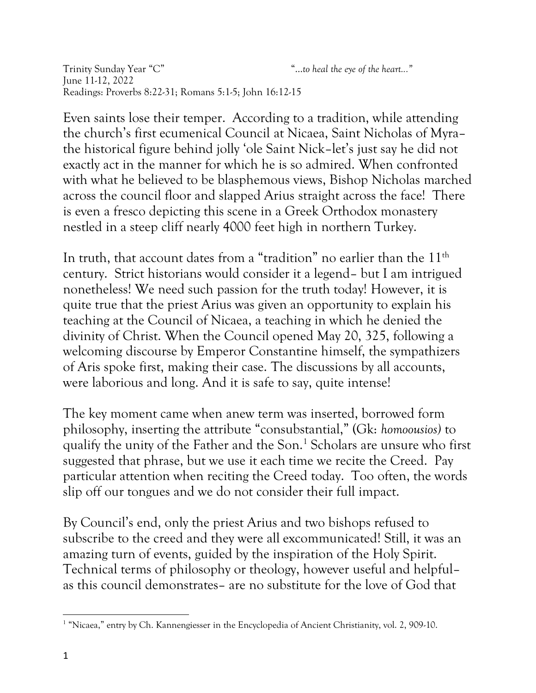Trinity Sunday Year "C" "…*to heal the eye of the heart..."* June 11-12, 2022 Readings: Proverbs 8:22-31; Romans 5:1-5; John 16:12-15

Even saints lose their temper. According to a tradition, while attending the church's first ecumenical Council at Nicaea, Saint Nicholas of Myra– the historical figure behind jolly 'ole Saint Nick–let's just say he did not exactly act in the manner for which he is so admired. When confronted with what he believed to be blasphemous views, Bishop Nicholas marched across the council floor and slapped Arius straight across the face! There is even a fresco depicting this scene in a Greek Orthodox monastery nestled in a steep cliff nearly 4000 feet high in northern Turkey.

In truth, that account dates from a "tradition" no earlier than the  $11<sup>th</sup>$ century. Strict historians would consider it a legend– but I am intrigued nonetheless! We need such passion for the truth today! However, it is quite true that the priest Arius was given an opportunity to explain his teaching at the Council of Nicaea, a teaching in which he denied the divinity of Christ. When the Council opened May 20, 325, following a welcoming discourse by Emperor Constantine himself, the sympathizers of Aris spoke first, making their case. The discussions by all accounts, were laborious and long. And it is safe to say, quite intense!

The key moment came when anew term was inserted, borrowed form philosophy, inserting the attribute "consubstantial," (Gk: *homoousios)* to qualify the unity of the Father and the Son.<sup>1</sup> Scholars are unsure who first suggested that phrase, but we use it each time we recite the Creed. Pay particular attention when reciting the Creed today. Too often, the words slip off our tongues and we do not consider their full impact.

By Council's end, only the priest Arius and two bishops refused to subscribe to the creed and they were all excommunicated! Still, it was an amazing turn of events, guided by the inspiration of the Holy Spirit. Technical terms of philosophy or theology, however useful and helpful– as this council demonstrates– are no substitute for the love of God that

<sup>&</sup>lt;sup>1</sup> "Nicaea," entry by Ch. Kannengiesser in the Encyclopedia of Ancient Christianity, vol. 2, 909-10.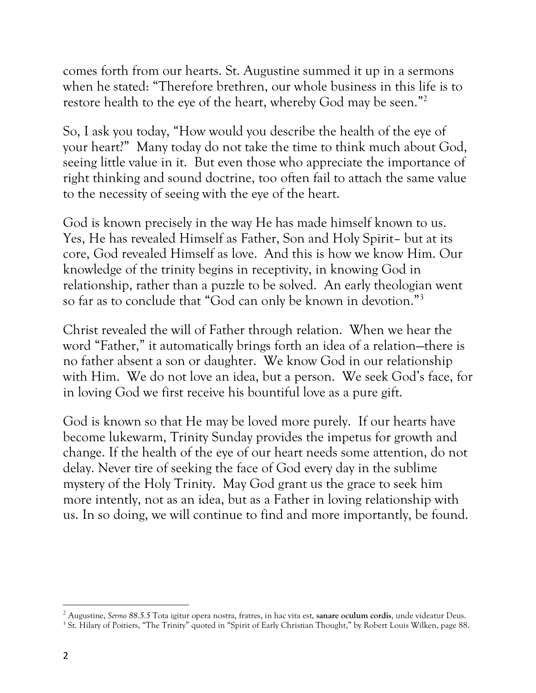comes forth from our hearts. St. Augustine summed it up in a sermons when he stated: "Therefore brethren, our whole business in this life is to restore health to the eye of the heart, whereby God may be seen."<sup>2</sup>

So, I ask you today, "How would you describe the health of the eye of your heart?" Many today do not take the time to think much about God, seeing little value in it. But even those who appreciate the importance of right thinking and sound doctrine, too often fail to attach the same value to the necessity of seeing with the eye of the heart.

God is known precisely in the way He has made himself known to us. Yes, He has revealed Himself as Father, Son and Holy Spirit– but at its core, God revealed Himself as love. And this is how we know Him. Our knowledge of the trinity begins in receptivity, in knowing God in relationship, rather than a puzzle to be solved. An early theologian went so far as to conclude that "God can only be known in devotion."<sup>3</sup>

Christ revealed the will of Father through relation. When we hear the word "Father," it automatically brings forth an idea of a relation—there is no father absent a son or daughter. We know God in our relationship with Him. We do not love an idea, but a person. We seek God's face, for in loving God we first receive his bountiful love as a pure gift.

God is known so that He may be loved more purely. If our hearts have become lukewarm, Trinity Sunday provides the impetus for growth and change. If the health of the eye of our heart needs some attention, do not delay. Never tire of seeking the face of God every day in the sublime mystery of the Holy Trinity. May God grant us the grace to seek him more intently, not as an idea, but as a Father in loving relationship with us. In so doing, we will continue to find and more importantly, be found.

<sup>2</sup> Augustine, *Sermo 88.5.5* Tota igitur opera nostra, fratres, in hac vita est, **sanare oculum cordis**, unde videatur Deus.

<sup>&</sup>lt;sup>3</sup> St. Hilary of Poitiers, "The Trinity" quoted in "Spirit of Early Christian Thought," by Robert Louis Wilken, page 88.